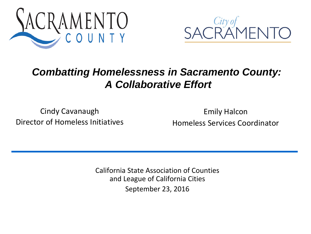



#### *Combatting Homelessness in Sacramento County: A Collaborative Effort*

Cindy Cavanaugh Director of Homeless Initiatives

Emily Halcon Homeless Services Coordinator

California State Association of Counties and League of California Cities September 23, 2016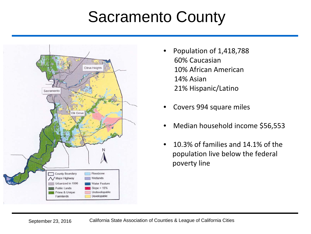#### Sacramento County



- Population of 1,418,788 60% Caucasian 10% African American 14% Asian 21% Hispanic/Latino
- Covers 994 square miles
- Median household income \$56,553
- 10.3% of families and 14.1% of the population live below the federal poverty line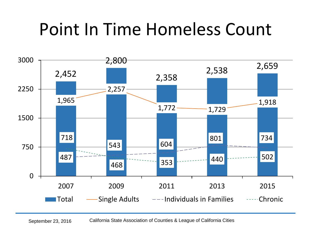# Point In Time Homeless Count

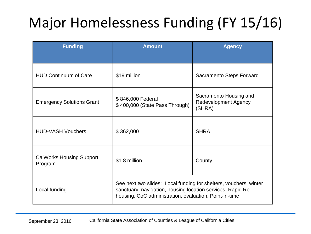# Major Homelessness Funding (FY 15/16)

| <b>Funding</b>                             | <b>Amount</b>                                                                                                                                                                              | <b>Agency</b>                                                   |
|--------------------------------------------|--------------------------------------------------------------------------------------------------------------------------------------------------------------------------------------------|-----------------------------------------------------------------|
| <b>HUD Continuum of Care</b>               | \$19 million                                                                                                                                                                               | Sacramento Steps Forward                                        |
| <b>Emergency Solutions Grant</b>           | \$846,000 Federal<br>\$400,000 (State Pass Through)                                                                                                                                        | Sacramento Housing and<br><b>Redevelopment Agency</b><br>(SHRA) |
| <b>HUD-VASH Vouchers</b>                   | \$362,000                                                                                                                                                                                  | <b>SHRA</b>                                                     |
| <b>CalWorks Housing Support</b><br>Program | \$1.8 million                                                                                                                                                                              | County                                                          |
| Local funding                              | See next two slides: Local funding for shelters, vouchers, winter<br>sanctuary, navigation, housing location services, Rapid Re-<br>housing, CoC administration, evaluation, Point-in-time |                                                                 |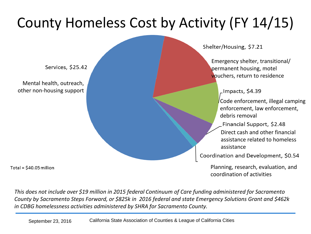### County Homeless Cost by Activity (FY 14/15)

Services, \$25.42

Mental health, outreach, other non-housing support

Total =  $$40.05$  million

Shelter/Housing, \$7.21

Emergency shelter, transitional/ permanent housing, motel vouchers, return to residence

\_Impacts, \$4.39

Code enforcement, illegal camping enforcement, law enforcement, debris removal

Financial Support, \$2.48 Direct cash and other financial assistance related to homeless assistance

Coordination and Development, \$0.54

Planning, research, evaluation, and coordination of activities

*This does not include over \$19 million in 2015 federal Continuum of Care funding administered for Sacramento County by Sacramento Steps Forward, or \$825k in 2016 federal and state Emergency Solutions Grant and \$462k in CDBG homelessness activities administered by SHRA for Sacramento County.*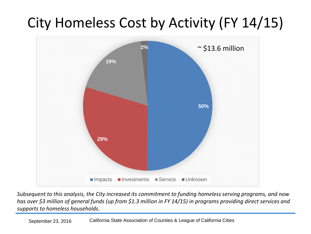### City Homeless Cost by Activity (FY 14/15)



*Subsequent to this analysis, the City increased its commitment to funding homeless serving programs, and now has over \$3 million of general funds (up from \$1.3 million in FY 14/15) in programs providing direct services and supports to homeless households.*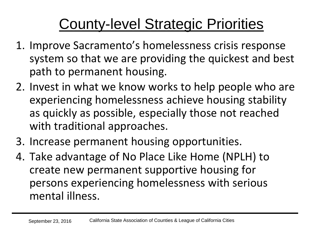## County-level Strategic Priorities

- 1. Improve Sacramento's homelessness crisis response system so that we are providing the quickest and best path to permanent housing.
- 2. Invest in what we know works to help people who are experiencing homelessness achieve housing stability as quickly as possible, especially those not reached with traditional approaches.
- 3. Increase permanent housing opportunities.
- 4. Take advantage of No Place Like Home (NPLH) to create new permanent supportive housing for persons experiencing homelessness with serious mental illness.